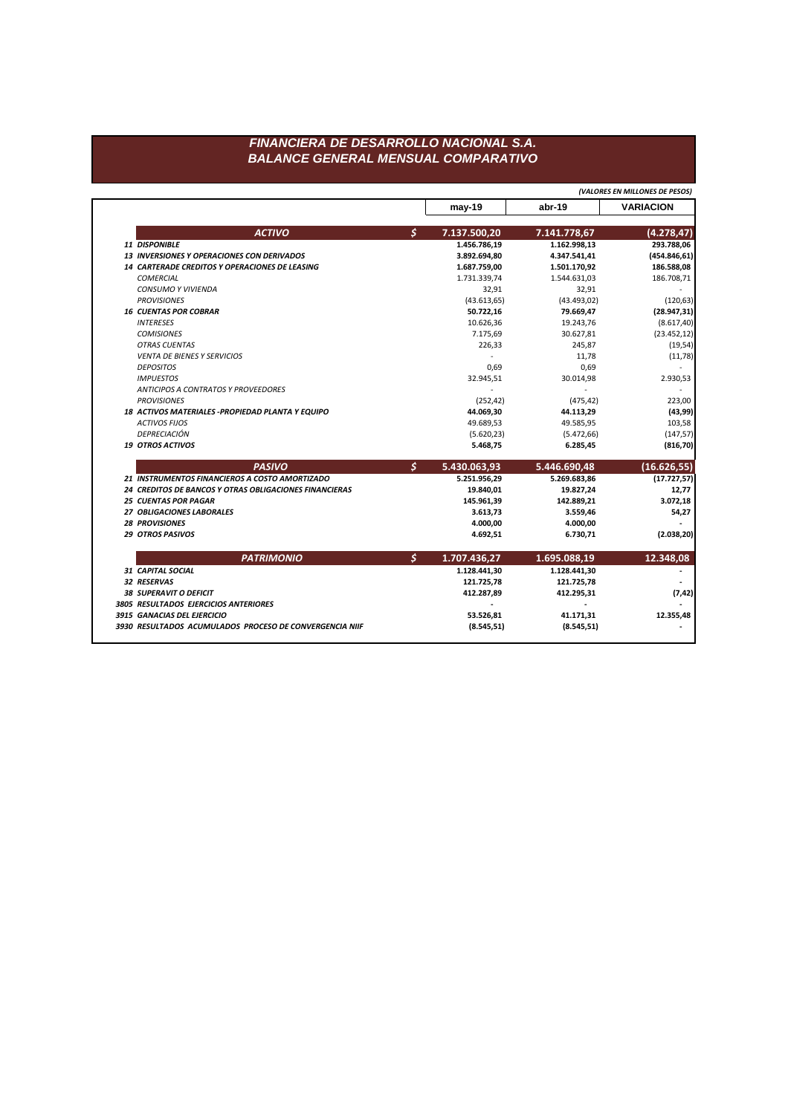## FINANCIERA DE DESARROLLO NACIONAL S.A. **BALANCE GENERAL MENSUAL COMPARATIVO**

(VALORES EN MILLONES DE PESOS)

|                                                        | $may-19$                                                                                                                                                                                                                                                                                                                                                                                                                                                                                                                                                                                                                           | $abr-19$                                                                                                                                                                                                                                           | <b>VARIACION</b>                                                                                                                                                                                                                                      |
|--------------------------------------------------------|------------------------------------------------------------------------------------------------------------------------------------------------------------------------------------------------------------------------------------------------------------------------------------------------------------------------------------------------------------------------------------------------------------------------------------------------------------------------------------------------------------------------------------------------------------------------------------------------------------------------------------|----------------------------------------------------------------------------------------------------------------------------------------------------------------------------------------------------------------------------------------------------|-------------------------------------------------------------------------------------------------------------------------------------------------------------------------------------------------------------------------------------------------------|
|                                                        |                                                                                                                                                                                                                                                                                                                                                                                                                                                                                                                                                                                                                                    |                                                                                                                                                                                                                                                    |                                                                                                                                                                                                                                                       |
|                                                        |                                                                                                                                                                                                                                                                                                                                                                                                                                                                                                                                                                                                                                    |                                                                                                                                                                                                                                                    | (4.278, 47)<br>293.788,06                                                                                                                                                                                                                             |
|                                                        |                                                                                                                                                                                                                                                                                                                                                                                                                                                                                                                                                                                                                                    |                                                                                                                                                                                                                                                    | (454.846, 61)                                                                                                                                                                                                                                         |
|                                                        |                                                                                                                                                                                                                                                                                                                                                                                                                                                                                                                                                                                                                                    |                                                                                                                                                                                                                                                    | 186.588,08                                                                                                                                                                                                                                            |
|                                                        |                                                                                                                                                                                                                                                                                                                                                                                                                                                                                                                                                                                                                                    |                                                                                                                                                                                                                                                    | 186.708,71                                                                                                                                                                                                                                            |
|                                                        |                                                                                                                                                                                                                                                                                                                                                                                                                                                                                                                                                                                                                                    |                                                                                                                                                                                                                                                    |                                                                                                                                                                                                                                                       |
|                                                        |                                                                                                                                                                                                                                                                                                                                                                                                                                                                                                                                                                                                                                    |                                                                                                                                                                                                                                                    |                                                                                                                                                                                                                                                       |
|                                                        |                                                                                                                                                                                                                                                                                                                                                                                                                                                                                                                                                                                                                                    |                                                                                                                                                                                                                                                    | (120, 63)                                                                                                                                                                                                                                             |
|                                                        |                                                                                                                                                                                                                                                                                                                                                                                                                                                                                                                                                                                                                                    |                                                                                                                                                                                                                                                    | (28.947, 31)                                                                                                                                                                                                                                          |
|                                                        |                                                                                                                                                                                                                                                                                                                                                                                                                                                                                                                                                                                                                                    |                                                                                                                                                                                                                                                    | (8.617, 40)                                                                                                                                                                                                                                           |
|                                                        |                                                                                                                                                                                                                                                                                                                                                                                                                                                                                                                                                                                                                                    |                                                                                                                                                                                                                                                    | (23.452, 12)                                                                                                                                                                                                                                          |
|                                                        |                                                                                                                                                                                                                                                                                                                                                                                                                                                                                                                                                                                                                                    |                                                                                                                                                                                                                                                    | (19, 54)                                                                                                                                                                                                                                              |
|                                                        |                                                                                                                                                                                                                                                                                                                                                                                                                                                                                                                                                                                                                                    |                                                                                                                                                                                                                                                    | (11,78)                                                                                                                                                                                                                                               |
|                                                        |                                                                                                                                                                                                                                                                                                                                                                                                                                                                                                                                                                                                                                    |                                                                                                                                                                                                                                                    |                                                                                                                                                                                                                                                       |
|                                                        |                                                                                                                                                                                                                                                                                                                                                                                                                                                                                                                                                                                                                                    |                                                                                                                                                                                                                                                    | 2.930,53                                                                                                                                                                                                                                              |
|                                                        |                                                                                                                                                                                                                                                                                                                                                                                                                                                                                                                                                                                                                                    |                                                                                                                                                                                                                                                    |                                                                                                                                                                                                                                                       |
|                                                        |                                                                                                                                                                                                                                                                                                                                                                                                                                                                                                                                                                                                                                    |                                                                                                                                                                                                                                                    | 223,00                                                                                                                                                                                                                                                |
|                                                        |                                                                                                                                                                                                                                                                                                                                                                                                                                                                                                                                                                                                                                    |                                                                                                                                                                                                                                                    | (43, 99)                                                                                                                                                                                                                                              |
|                                                        |                                                                                                                                                                                                                                                                                                                                                                                                                                                                                                                                                                                                                                    |                                                                                                                                                                                                                                                    | 103,58                                                                                                                                                                                                                                                |
|                                                        |                                                                                                                                                                                                                                                                                                                                                                                                                                                                                                                                                                                                                                    |                                                                                                                                                                                                                                                    | (147, 57)                                                                                                                                                                                                                                             |
|                                                        |                                                                                                                                                                                                                                                                                                                                                                                                                                                                                                                                                                                                                                    |                                                                                                                                                                                                                                                    | (816, 70)                                                                                                                                                                                                                                             |
| <b>PASIVO</b>                                          | $\mathcal{S}$<br>5.430.063,93                                                                                                                                                                                                                                                                                                                                                                                                                                                                                                                                                                                                      | 5.446.690,48                                                                                                                                                                                                                                       | (16.626, 55)                                                                                                                                                                                                                                          |
|                                                        | 5.251.956,29                                                                                                                                                                                                                                                                                                                                                                                                                                                                                                                                                                                                                       | 5.269.683,86                                                                                                                                                                                                                                       | (17.727, 57)                                                                                                                                                                                                                                          |
| 24 CREDITOS DE BANCOS Y OTRAS OBLIGACIONES FINANCIERAS |                                                                                                                                                                                                                                                                                                                                                                                                                                                                                                                                                                                                                                    |                                                                                                                                                                                                                                                    |                                                                                                                                                                                                                                                       |
|                                                        | 19.840,01                                                                                                                                                                                                                                                                                                                                                                                                                                                                                                                                                                                                                          | 19.827,24                                                                                                                                                                                                                                          | 12,77                                                                                                                                                                                                                                                 |
| <b>25 CUENTAS POR PAGAR</b>                            | 145.961,39                                                                                                                                                                                                                                                                                                                                                                                                                                                                                                                                                                                                                         | 142.889,21                                                                                                                                                                                                                                         | 3.072,18                                                                                                                                                                                                                                              |
| 27 OBLIGACIONES LABORALES                              | 3.613,73                                                                                                                                                                                                                                                                                                                                                                                                                                                                                                                                                                                                                           | 3.559,46                                                                                                                                                                                                                                           | 54,27                                                                                                                                                                                                                                                 |
| <b>28 PROVISIONES</b>                                  | 4.000,00                                                                                                                                                                                                                                                                                                                                                                                                                                                                                                                                                                                                                           | 4.000,00                                                                                                                                                                                                                                           |                                                                                                                                                                                                                                                       |
| <b>29 OTROS PASIVOS</b>                                | 4.692,51                                                                                                                                                                                                                                                                                                                                                                                                                                                                                                                                                                                                                           | 6.730,71                                                                                                                                                                                                                                           | (2.038, 20)                                                                                                                                                                                                                                           |
| <b>PATRIMONIO</b>                                      | \$<br>1.707.436,27                                                                                                                                                                                                                                                                                                                                                                                                                                                                                                                                                                                                                 | 1.695.088,19                                                                                                                                                                                                                                       | 12.348,08                                                                                                                                                                                                                                             |
| <b>31 CAPITAL SOCIAL</b>                               | 1.128.441,30                                                                                                                                                                                                                                                                                                                                                                                                                                                                                                                                                                                                                       | 1.128.441,30                                                                                                                                                                                                                                       |                                                                                                                                                                                                                                                       |
| 32 RESERVAS                                            | 121.725,78                                                                                                                                                                                                                                                                                                                                                                                                                                                                                                                                                                                                                         |                                                                                                                                                                                                                                                    |                                                                                                                                                                                                                                                       |
| <b>38 SUPERAVIT O DEFICIT</b>                          |                                                                                                                                                                                                                                                                                                                                                                                                                                                                                                                                                                                                                                    | 121.725,78                                                                                                                                                                                                                                         |                                                                                                                                                                                                                                                       |
| 3805 RESULTADOS EJERCICIOS ANTERIORES                  | 412.287,89                                                                                                                                                                                                                                                                                                                                                                                                                                                                                                                                                                                                                         | 412.295,31                                                                                                                                                                                                                                         |                                                                                                                                                                                                                                                       |
| 3915 GANACIAS DEL EJERCICIO                            | 53.526,81                                                                                                                                                                                                                                                                                                                                                                                                                                                                                                                                                                                                                          | 41.171,31                                                                                                                                                                                                                                          | (7, 42)<br>12.355,48                                                                                                                                                                                                                                  |
|                                                        | <b>ACTIVO</b><br>11 DISPONIBLE<br><b>13 INVERSIONES Y OPERACIONES CON DERIVADOS</b><br>14 CARTERADE CREDITOS Y OPERACIONES DE LEASING<br><b>COMERCIAL</b><br><b>CONSUMO Y VIVIENDA</b><br><b>PROVISIONES</b><br><b>16 CUENTAS POR COBRAR</b><br><b>INTERESES</b><br><b>COMISIONES</b><br><b>OTRAS CUENTAS</b><br><b>VENTA DE BIENES Y SERVICIOS</b><br><b>DEPOSITOS</b><br><b>IMPUESTOS</b><br>ANTICIPOS A CONTRATOS Y PROVEEDORES<br><b>PROVISIONES</b><br>18 ACTIVOS MATERIALES - PROPIEDAD PLANTA Y EQUIPO<br><b>ACTIVOS FIJOS</b><br>DEPRECIACIÓN<br><b>19 OTROS ACTIVOS</b><br>21 INSTRUMENTOS FINANCIEROS A COSTO AMORTIZADO | \$<br>7.137.500,20<br>1.456.786,19<br>3.892.694,80<br>1.687.759,00<br>1.731.339,74<br>32,91<br>(43.613, 65)<br>50.722,16<br>10.626,36<br>7.175,69<br>226,33<br>0,69<br>32.945,51<br>(252, 42)<br>44.069,30<br>49.689,53<br>(5.620, 23)<br>5.468,75 | 7.141.778,67<br>1.162.998,13<br>4.347.541,41<br>1.501.170,92<br>1.544.631,03<br>32,91<br>(43.493,02)<br>79.669,47<br>19.243,76<br>30.627,81<br>245,87<br>11,78<br>0,69<br>30.014,98<br>(475, 42)<br>44.113,29<br>49.585,95<br>(5.472, 66)<br>6.285,45 |